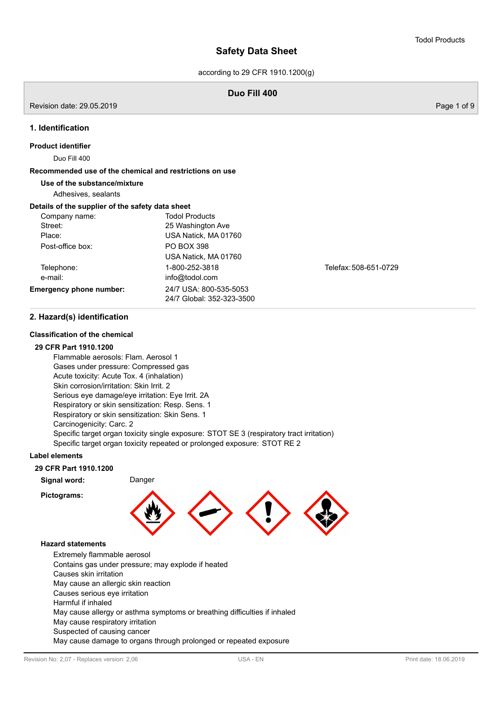according to 29 CFR 1910.1200(g)

## **Duo Fill 400**

Revision date: 29.05.2019 Page 1 of 9

### **1. Identification**

### **Product identifier**

Duo Fill 400

## **Recommended use of the chemical and restrictions on use**

### **Use of the substance/mixture**

Adhesives, sealants

### **Details of the supplier of the safety data sheet**

| Company name:                  | <b>Todol Products</b>     |                       |
|--------------------------------|---------------------------|-----------------------|
| Street:                        | 25 Washington Ave         |                       |
| Place:                         | USA Natick, MA 01760      |                       |
| Post-office box:               | <b>PO BOX 398</b>         |                       |
|                                | USA Natick, MA 01760      |                       |
| Telephone:                     | 1-800-252-3818            | Telefax: 508-651-0729 |
| e-mail:                        | info@todol.com            |                       |
| <b>Emergency phone number:</b> | 24/7 USA: 800-535-5053    |                       |
|                                | 24/7 Global: 352-323-3500 |                       |
|                                |                           |                       |

## **2. Hazard(s) identification**

### **Classification of the chemical**

### **29 CFR Part 1910.1200**

Flammable aerosols: Flam. Aerosol 1 Gases under pressure: Compressed gas Acute toxicity: Acute Tox. 4 (inhalation) Skin corrosion/irritation: Skin Irrit. 2 Serious eye damage/eye irritation: Eye Irrit. 2A Respiratory or skin sensitization: Resp. Sens. 1 Respiratory or skin sensitization: Skin Sens. 1 Carcinogenicity: Carc. 2 Specific target organ toxicity single exposure: STOT SE 3 (respiratory tract irritation) Specific target organ toxicity repeated or prolonged exposure: STOT RE 2

### **Label elements**

### **29 CFR Part 1910.1200**

**Signal word:** Danger

**Pictograms:**



### **Hazard statements**

Extremely flammable aerosol Contains gas under pressure; may explode if heated Causes skin irritation May cause an allergic skin reaction Causes serious eye irritation Harmful if inhaled May cause allergy or asthma symptoms or breathing difficulties if inhaled May cause respiratory irritation Suspected of causing cancer May cause damage to organs through prolonged or repeated exposure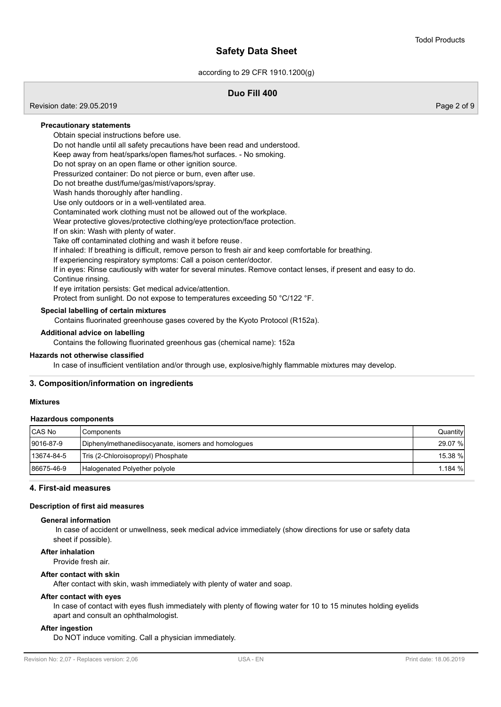according to 29 CFR 1910.1200(g)

## **Duo Fill 400**

Revision date: 29.05.2019 Page 2 of 9

### **Precautionary statements**

Obtain special instructions before use.

Do not handle until all safety precautions have been read and understood.

Keep away from heat/sparks/open flames/hot surfaces. - No smoking.

Do not spray on an open flame or other ignition source.

Pressurized container: Do not pierce or burn, even after use.

Do not breathe dust/fume/gas/mist/vapors/spray.

Wash hands thoroughly after handling.

Use only outdoors or in a well-ventilated area.

Contaminated work clothing must not be allowed out of the workplace.

Wear protective gloves/protective clothing/eye protection/face protection.

If on skin: Wash with plenty of water.

Take off contaminated clothing and wash it before reuse.

If inhaled: If breathing is difficult, remove person to fresh air and keep comfortable for breathing.

If experiencing respiratory symptoms: Call a poison center/doctor.

If in eyes: Rinse cautiously with water for several minutes. Remove contact lenses, if present and easy to do. Continue rinsing.

If eye irritation persists: Get medical advice/attention.

Protect from sunlight. Do not expose to temperatures exceeding 50 °C/122 °F.

### **Special labelling of certain mixtures**

Contains fluorinated greenhouse gases covered by the Kyoto Protocol (R152a).

### **Additional advice on labelling**

Contains the following fluorinated greenhous gas (chemical name): 152a

### **Hazards not otherwise classified**

In case of insufficient ventilation and/or through use, explosive/highly flammable mixtures may develop.

### **3. Composition/information on ingredients**

### **Mixtures**

#### **Hazardous components**

| <b>CAS No</b> | Components                                          | Quantity |
|---------------|-----------------------------------------------------|----------|
| 9016-87-9     | Diphenylmethanediisocyanate, isomers and homologues | 29.07 %  |
| 13674-84-5    | Tris (2-Chloroisopropyl) Phosphate                  | 15.38 %  |
| 86675-46-9    | Halogenated Polyether polyole                       | 1.184%   |

### **4. First-aid measures**

### **Description of first aid measures**

### **General information**

 In case of accident or unwellness, seek medical advice immediately (show directions for use or safety data sheet if possible).

**After inhalation**

Provide fresh air.

### **After contact with skin**

After contact with skin, wash immediately with plenty of water and soap.

### **After contact with eyes**

In case of contact with eyes flush immediately with plenty of flowing water for 10 to 15 minutes holding eyelids apart and consult an ophthalmologist.

#### **After ingestion**

Do NOT induce vomiting. Call a physician immediately.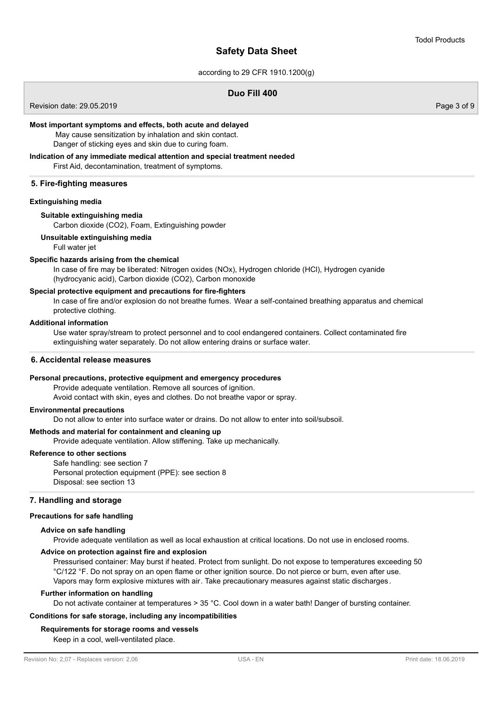according to 29 CFR 1910.1200(g)

## **Duo Fill 400**

Revision date: 29.05.2019 Page 3 of 9

### **Most important symptoms and effects, both acute and delayed**

 May cause sensitization by inhalation and skin contact. Danger of sticking eyes and skin due to curing foam.

## **Indication of any immediate medical attention and special treatment needed** First Aid, decontamination, treatment of symptoms.

## **5. Fire-fighting measures**

### **Extinguishing media**

### **Suitable extinguishing media**

Carbon dioxide (CO2), Foam, Extinguishing powder

### **Unsuitable extinguishing media**

Full water jet

## **Specific hazards arising from the chemical**

In case of fire may be liberated: Nitrogen oxides (NOx), Hydrogen chloride (HCl), Hydrogen cyanide (hydrocyanic acid), Carbon dioxide (CO2), Carbon monoxide

## **Special protective equipment and precautions for fire-fighters**

In case of fire and/or explosion do not breathe fumes. Wear a self-contained breathing apparatus and chemical protective clothing.

## **Additional information**

Use water spray/stream to protect personnel and to cool endangered containers. Collect contaminated fire extinguishing water separately. Do not allow entering drains or surface water.

### **6. Accidental release measures**

### **Personal precautions, protective equipment and emergency procedures**

Provide adequate ventilation. Remove all sources of ignition. Avoid contact with skin, eyes and clothes. Do not breathe vapor or spray.

### **Environmental precautions**

Do not allow to enter into surface water or drains. Do not allow to enter into soil/subsoil.

### **Methods and material for containment and cleaning up**

Provide adequate ventilation. Allow stiffening. Take up mechanically.

## **Reference to other sections**

Safe handling: see section 7 Personal protection equipment (PPE): see section 8 Disposal: see section 13

## **7. Handling and storage**

### **Precautions for safe handling**

### **Advice on safe handling**

Provide adequate ventilation as well as local exhaustion at critical locations. Do not use in enclosed rooms.

## **Advice on protection against fire and explosion**

Pressurised container: May burst if heated. Protect from sunlight. Do not expose to temperatures exceeding 50 °C/122 °F. Do not spray on an open flame or other ignition source. Do not pierce or burn, even after use. Vapors may form explosive mixtures with air. Take precautionary measures against static discharges.

#### **Further information on handling**

Do not activate container at temperatures > 35 °C. Cool down in a water bath! Danger of bursting container.

## **Conditions for safe storage, including any incompatibilities**

### **Requirements for storage rooms and vessels**

Keep in a cool, well-ventilated place.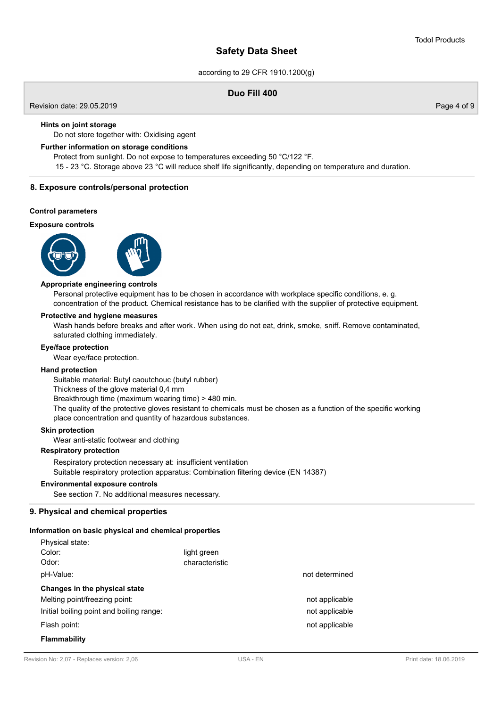according to 29 CFR 1910.1200(g)

## **Duo Fill 400**

Revision date: 29.05.2019 Page 4 of 9

### **Hints on joint storage**

Do not store together with: Oxidising agent

### **Further information on storage conditions**

Protect from sunlight. Do not expose to temperatures exceeding 50 °C/122 °F.

15 - 23 °C. Storage above 23 °C will reduce shelf life significantly, depending on temperature and duration.

### **8. Exposure controls/personal protection**

### **Control parameters**

### **Exposure controls**





### **Appropriate engineering controls**

Personal protective equipment has to be chosen in accordance with workplace specific conditions, e. g. concentration of the product. Chemical resistance has to be clarified with the supplier of protective equipment.

### **Protective and hygiene measures**

Wash hands before breaks and after work. When using do not eat, drink, smoke, sniff. Remove contaminated, saturated clothing immediately.

### **Eye/face protection**

Wear eye/face protection.

### **Hand protection**

Suitable material: Butyl caoutchouc (butyl rubber)

Thickness of the glove material 0,4 mm

Breakthrough time (maximum wearing time) > 480 min.

The quality of the protective gloves resistant to chemicals must be chosen as a function of the specific working place concentration and quantity of hazardous substances.

### **Skin protection**

Wear anti-static footwear and clothing

## **Respiratory protection**

Respiratory protection necessary at: insufficient ventilation

Suitable respiratory protection apparatus: Combination filtering device (EN 14387)

## **Environmental exposure controls**

See section 7. No additional measures necessary.

### **9. Physical and chemical properties**

### **Information on basic physical and chemical properties**

| Physical state:                          |                |                |
|------------------------------------------|----------------|----------------|
| Color:                                   | light green    |                |
| Odor:                                    | characteristic |                |
| pH-Value:                                |                | not determined |
| Changes in the physical state            |                |                |
| Melting point/freezing point:            |                | not applicable |
| Initial boiling point and boiling range: |                | not applicable |
| Flash point:                             |                | not applicable |
| <b>Flammability</b>                      |                |                |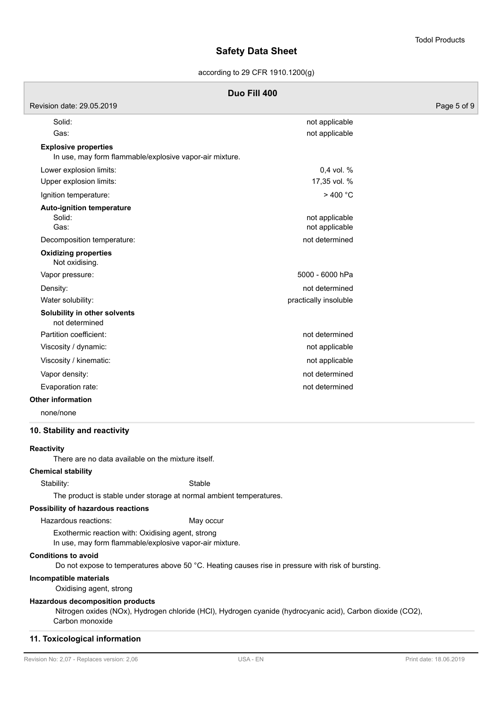according to 29 CFR 1910.1200(g)

| Revision date: 29.05.2019                                                              |                                  | Page 5 of 9 |
|----------------------------------------------------------------------------------------|----------------------------------|-------------|
| Solid:                                                                                 | not applicable                   |             |
| Gas:                                                                                   | not applicable                   |             |
| <b>Explosive properties</b><br>In use, may form flammable/explosive vapor-air mixture. |                                  |             |
| Lower explosion limits:                                                                | 0,4 vol. %                       |             |
| Upper explosion limits:                                                                | 17,35 vol. %                     |             |
| Ignition temperature:                                                                  | >400 °C                          |             |
| <b>Auto-ignition temperature</b><br>Solid:<br>Gas:                                     | not applicable<br>not applicable |             |
| Decomposition temperature:                                                             | not determined                   |             |
| <b>Oxidizing properties</b><br>Not oxidising.                                          |                                  |             |
| Vapor pressure:                                                                        | 5000 - 6000 hPa                  |             |
| Density:                                                                               | not determined                   |             |
| Water solubility:                                                                      | practically insoluble            |             |
| Solubility in other solvents<br>not determined                                         |                                  |             |
| Partition coefficient:                                                                 | not determined                   |             |
| Viscosity / dynamic:                                                                   | not applicable                   |             |
| Viscosity / kinematic:                                                                 | not applicable                   |             |
| Vapor density:                                                                         | not determined                   |             |
| Evaporation rate:                                                                      | not determined                   |             |
| <b>Other information</b>                                                               |                                  |             |
|                                                                                        |                                  |             |

none/none

### **10. Stability and reactivity**

### **Reactivity**

There are no data available on the mixture itself.

**Chemical stability**

Stability: Stable

The product is stable under storage at normal ambient temperatures.

### **Possibility of hazardous reactions**

Hazardous reactions: May occur

Exothermic reaction with: Oxidising agent, strong In use, may form flammable/explosive vapor-air mixture.

#### **Conditions to avoid**

Do not expose to temperatures above 50 °C. Heating causes rise in pressure with risk of bursting.

### **Incompatible materials**

Oxidising agent, strong

### **Hazardous decomposition products**

 Nitrogen oxides (NOx), Hydrogen chloride (HCl), Hydrogen cyanide (hydrocyanic acid), Carbon dioxide (CO2), Carbon monoxide

### **11. Toxicological information**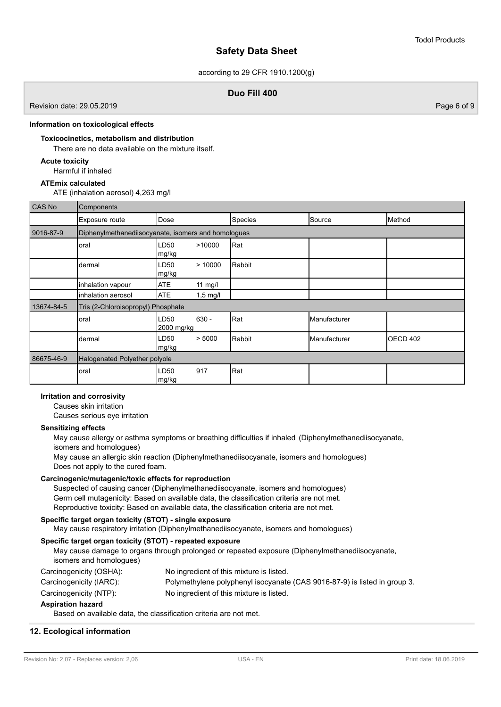according to 29 CFR 1910.1200(g)

## **Duo Fill 400**

Revision date: 29.05.2019 Page 6 of 9

### **Information on toxicological effects**

## **Toxicocinetics, metabolism and distribution**

There are no data available on the mixture itself.

## **Acute toxicity**

Harmful if inhaled

## **ATEmix calculated**

ATE (inhalation aerosol) 4,263 mg/l

| CAS No     | Components                         |                                                     |            |         |              |                 |
|------------|------------------------------------|-----------------------------------------------------|------------|---------|--------------|-----------------|
|            | Exposure route                     | Dose                                                |            | Species | Source       | Method          |
| 9016-87-9  |                                    | Diphenylmethanediisocyanate, isomers and homologues |            |         |              |                 |
|            | oral                               | LD50<br>mg/kg                                       | >10000     | Rat     |              |                 |
|            | dermal                             | LD50<br>mg/kg                                       | >10000     | Rabbit  |              |                 |
|            | inhalation vapour                  | <b>ATE</b>                                          | 11 mg/l    |         |              |                 |
|            | inhalation aerosol                 | <b>ATE</b>                                          | $1,5$ mg/l |         |              |                 |
| 13674-84-5 | Tris (2-Chloroisopropyl) Phosphate |                                                     |            |         |              |                 |
|            | oral                               | LD50<br>2000 mg/kg                                  | $630 -$    | Rat     | Manufacturer |                 |
|            | dermal                             | LD50<br>mg/kg                                       | > 5000     | Rabbit  | Manufacturer | <b>OECD 402</b> |
| 86675-46-9 | Halogenated Polyether polyole      |                                                     |            |         |              |                 |
|            | oral                               | LD50<br>mg/kg                                       | 917        | Rat     |              |                 |

## **Irritation and corrosivity**

Causes skin irritation

Causes serious eye irritation

### **Sensitizing effects**

May cause allergy or asthma symptoms or breathing difficulties if inhaled (Diphenylmethanediisocyanate, isomers and homologues) May cause an allergic skin reaction (Diphenylmethanediisocyanate, isomers and homologues) Does not apply to the cured foam.

### **Carcinogenic/mutagenic/toxic effects for reproduction**

Suspected of causing cancer (Diphenylmethanediisocyanate, isomers and homologues) Germ cell mutagenicity: Based on available data, the classification criteria are not met. Reproductive toxicity: Based on available data, the classification criteria are not met.

## **Specific target organ toxicity (STOT) - single exposure**

May cause respiratory irritation (Diphenylmethanediisocyanate, isomers and homologues)

## **Specific target organ toxicity (STOT) - repeated exposure**

May cause damage to organs through prolonged or repeated exposure (Diphenylmethanediisocyanate, isomers and homologues) Carcinogenicity (OSHA): No ingredient of this mixture is listed.

- Carcinogenicity (IARC): Polymethylene polyphenyl isocyanate (CAS 9016-87-9) is listed in group 3.
- Carcinogenicity (NTP): No ingredient of this mixture is listed.

## **Aspiration hazard**

Based on available data, the classification criteria are not met.

## **12. Ecological information**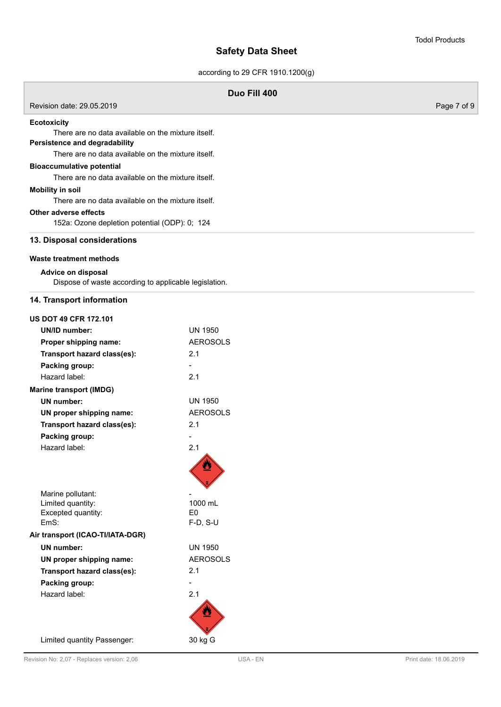according to 29 CFR 1910.1200(g)

| Duo Fill 400                                                                                                                                                    |                              |             |  |  |
|-----------------------------------------------------------------------------------------------------------------------------------------------------------------|------------------------------|-------------|--|--|
| Revision date: 29.05.2019                                                                                                                                       |                              | Page 7 of 9 |  |  |
| <b>Ecotoxicity</b><br>There are no data available on the mixture itself.<br>Persistence and degradability<br>There are no data available on the mixture itself. |                              |             |  |  |
| <b>Bioaccumulative potential</b><br>There are no data available on the mixture itself.                                                                          |                              |             |  |  |
| <b>Mobility in soil</b><br>There are no data available on the mixture itself.                                                                                   |                              |             |  |  |
| Other adverse effects<br>152a: Ozone depletion potential (ODP): 0; 124                                                                                          |                              |             |  |  |
| 13. Disposal considerations                                                                                                                                     |                              |             |  |  |
| Waste treatment methods                                                                                                                                         |                              |             |  |  |
| Advice on disposal<br>Dispose of waste according to applicable legislation.                                                                                     |                              |             |  |  |
| 14. Transport information                                                                                                                                       |                              |             |  |  |
| <b>US DOT 49 CFR 172.101</b>                                                                                                                                    |                              |             |  |  |
| <b>UN/ID number:</b>                                                                                                                                            | <b>UN 1950</b>               |             |  |  |
| Proper shipping name:                                                                                                                                           | <b>AEROSOLS</b>              |             |  |  |
| Transport hazard class(es):                                                                                                                                     | 2.1                          |             |  |  |
| Packing group:                                                                                                                                                  |                              |             |  |  |
| Hazard label:                                                                                                                                                   | 2.1                          |             |  |  |
| <b>Marine transport (IMDG)</b>                                                                                                                                  |                              |             |  |  |
| <b>UN</b> number:                                                                                                                                               | <b>UN 1950</b>               |             |  |  |
| UN proper shipping name:                                                                                                                                        | <b>AEROSOLS</b>              |             |  |  |
| Transport hazard class(es):                                                                                                                                     | 2.1                          |             |  |  |
| Packing group:                                                                                                                                                  |                              |             |  |  |
| Hazard label:                                                                                                                                                   | 2.1<br>œ                     |             |  |  |
| Marine pollutant:                                                                                                                                               |                              |             |  |  |
| Limited quantity:                                                                                                                                               | 1000 mL                      |             |  |  |
| Excepted quantity:<br>EmS:                                                                                                                                      | E <sub>0</sub><br>$F-D, S-U$ |             |  |  |
| Air transport (ICAO-TI/IATA-DGR)                                                                                                                                |                              |             |  |  |
| <b>UN</b> number:                                                                                                                                               | <b>UN 1950</b>               |             |  |  |
| UN proper shipping name:                                                                                                                                        | <b>AEROSOLS</b>              |             |  |  |
| Transport hazard class(es):                                                                                                                                     | 2.1                          |             |  |  |
| Packing group:                                                                                                                                                  | $\overline{a}$               |             |  |  |
| Hazard label:                                                                                                                                                   | 2.1                          |             |  |  |
|                                                                                                                                                                 |                              |             |  |  |
| Limited quantity Passenger:                                                                                                                                     | 30 kg G                      |             |  |  |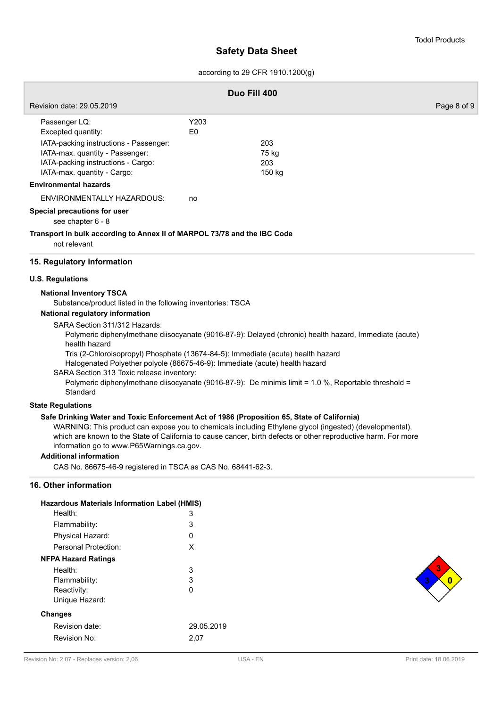according to 29 CFR 1910.1200(g)

|                                                                                                                                                                                                                                                                                                                                                                                                                                            | Duo Fill 400 |                                                                                                                                                                                                                           |             |
|--------------------------------------------------------------------------------------------------------------------------------------------------------------------------------------------------------------------------------------------------------------------------------------------------------------------------------------------------------------------------------------------------------------------------------------------|--------------|---------------------------------------------------------------------------------------------------------------------------------------------------------------------------------------------------------------------------|-------------|
| Revision date: 29.05.2019                                                                                                                                                                                                                                                                                                                                                                                                                  |              |                                                                                                                                                                                                                           | Page 8 of 9 |
| Passenger LQ:<br>Excepted quantity:<br>IATA-packing instructions - Passenger:<br>IATA-max. quantity - Passenger:                                                                                                                                                                                                                                                                                                                           | Y203<br>E0   | 203<br>75 kg                                                                                                                                                                                                              |             |
| IATA-packing instructions - Cargo:<br>IATA-max. quantity - Cargo:                                                                                                                                                                                                                                                                                                                                                                          |              | 203<br>150 kg                                                                                                                                                                                                             |             |
| <b>Environmental hazards</b>                                                                                                                                                                                                                                                                                                                                                                                                               |              |                                                                                                                                                                                                                           |             |
| ENVIRONMENTALLY HAZARDOUS:                                                                                                                                                                                                                                                                                                                                                                                                                 | no           |                                                                                                                                                                                                                           |             |
| Special precautions for user<br>see chapter 6 - 8                                                                                                                                                                                                                                                                                                                                                                                          |              |                                                                                                                                                                                                                           |             |
| Transport in bulk according to Annex II of MARPOL 73/78 and the IBC Code<br>not relevant                                                                                                                                                                                                                                                                                                                                                   |              |                                                                                                                                                                                                                           |             |
| 15. Regulatory information                                                                                                                                                                                                                                                                                                                                                                                                                 |              |                                                                                                                                                                                                                           |             |
| <b>U.S. Regulations</b>                                                                                                                                                                                                                                                                                                                                                                                                                    |              |                                                                                                                                                                                                                           |             |
| <b>National Inventory TSCA</b><br>Substance/product listed in the following inventories: TSCA<br>National regulatory information<br>SARA Section 311/312 Hazards:<br>health hazard<br>Tris (2-Chloroisopropyl) Phosphate (13674-84-5): Immediate (acute) health hazard<br>Halogenated Polyether polyole (86675-46-9): Immediate (acute) health hazard<br>SARA Section 313 Toxic release inventory:<br>Standard<br><b>State Regulations</b> |              | Polymeric diphenylmethane diisocyanate (9016-87-9): Delayed (chronic) health hazard, Immediate (acute)<br>Polymeric diphenylmethane diisocyanate (9016-87-9): De minimis limit = 1.0 %, Reportable threshold =            |             |
| Safe Drinking Water and Toxic Enforcement Act of 1986 (Proposition 65, State of California)<br>information go to www.P65Warnings.ca.gov.<br><b>Additional information</b>                                                                                                                                                                                                                                                                  |              | WARNING: This product can expose you to chemicals including Ethylene glycol (ingested) (developmental),<br>which are known to the State of California to cause cancer, birth defects or other reproductive harm. For more |             |
| CAS No. 86675-46-9 registered in TSCA as CAS No. 68441-62-3.                                                                                                                                                                                                                                                                                                                                                                               |              |                                                                                                                                                                                                                           |             |
| 16. Other information<br><b>Hazardous Materials Information Label (HMIS)</b>                                                                                                                                                                                                                                                                                                                                                               |              |                                                                                                                                                                                                                           |             |

| Hazardous Materials Information Label (HMIS) |            |
|----------------------------------------------|------------|
| Health:                                      | 3          |
| Flammability:                                | 3          |
| Physical Hazard:                             | 0          |
| Personal Protection:                         | X          |
| <b>NFPA Hazard Ratings</b>                   |            |
| Health:                                      | 3          |
| Flammability:                                | 3          |
| Reactivity:                                  | 0          |
| Unique Hazard:                               |            |
| <b>Changes</b>                               |            |
| Revision date:                               | 29.05.2019 |
| Revision No:                                 | 2,07       |
|                                              |            |